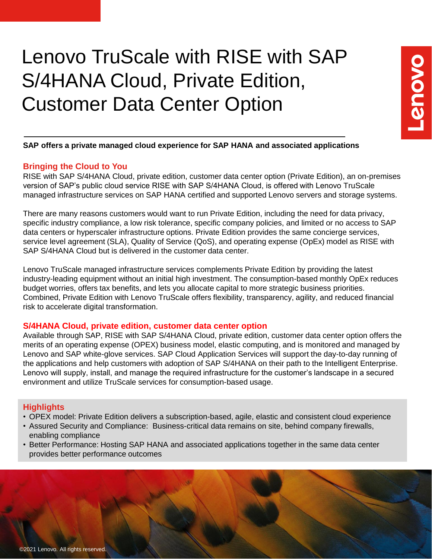# Lenovo TruScale with RISE with SAP S/4HANA Cloud, Private Edition, Customer Data Center Option

## **SAP offers a private managed cloud experience for SAP HANA and associated applications**

# **Bringing the Cloud to You**

RISE with SAP S/4HANA Cloud, private edition, customer data center option (Private Edition), an on-premises version of SAP's public cloud service RISE with SAP S/4HANA Cloud, is offered with Lenovo TruScale managed infrastructure services on SAP HANA certified and supported Lenovo servers and storage systems.

There are many reasons customers would want to run Private Edition, including the need for data privacy, specific industry compliance, a low risk tolerance, specific company policies, and limited or no access to SAP data centers or hyperscaler infrastructure options. Private Edition provides the same concierge services, service level agreement (SLA), Quality of Service (QoS), and operating expense (OpEx) model as RISE with SAP S/4HANA Cloud but is delivered in the customer data center.

Lenovo TruScale managed infrastructure services complements Private Edition by providing the latest industry-leading equipment without an initial high investment. The consumption-based monthly OpEx reduces budget worries, offers tax benefits, and lets you allocate capital to more strategic business priorities. Combined, Private Edition with Lenovo TruScale offers flexibility, transparency, agility, and reduced financial risk to accelerate digital transformation.

# **S/4HANA Cloud, private edition, customer data center option**

Available through SAP, RISE with SAP S/4HANA Cloud, private edition, customer data center option offers the merits of an operating expense (OPEX) business model, elastic computing, and is monitored and managed by Lenovo and SAP white-glove services. SAP Cloud Application Services will support the day-to-day running of the applications and help customers with adoption of SAP S/4HANA on their path to the Intelligent Enterprise. Lenovo will supply, install, and manage the required infrastructure for the customer's landscape in a secured environment and utilize TruScale services for consumption-based usage.

# **Highlights**

- OPEX model: Private Edition delivers a subscription-based, agile, elastic and consistent cloud experience
- Assured Security and Compliance: Business-critical data remains on site, behind company firewalls, enabling compliance
- Better Performance: Hosting SAP HANA and associated applications together in the same data center provides better performance outcomes